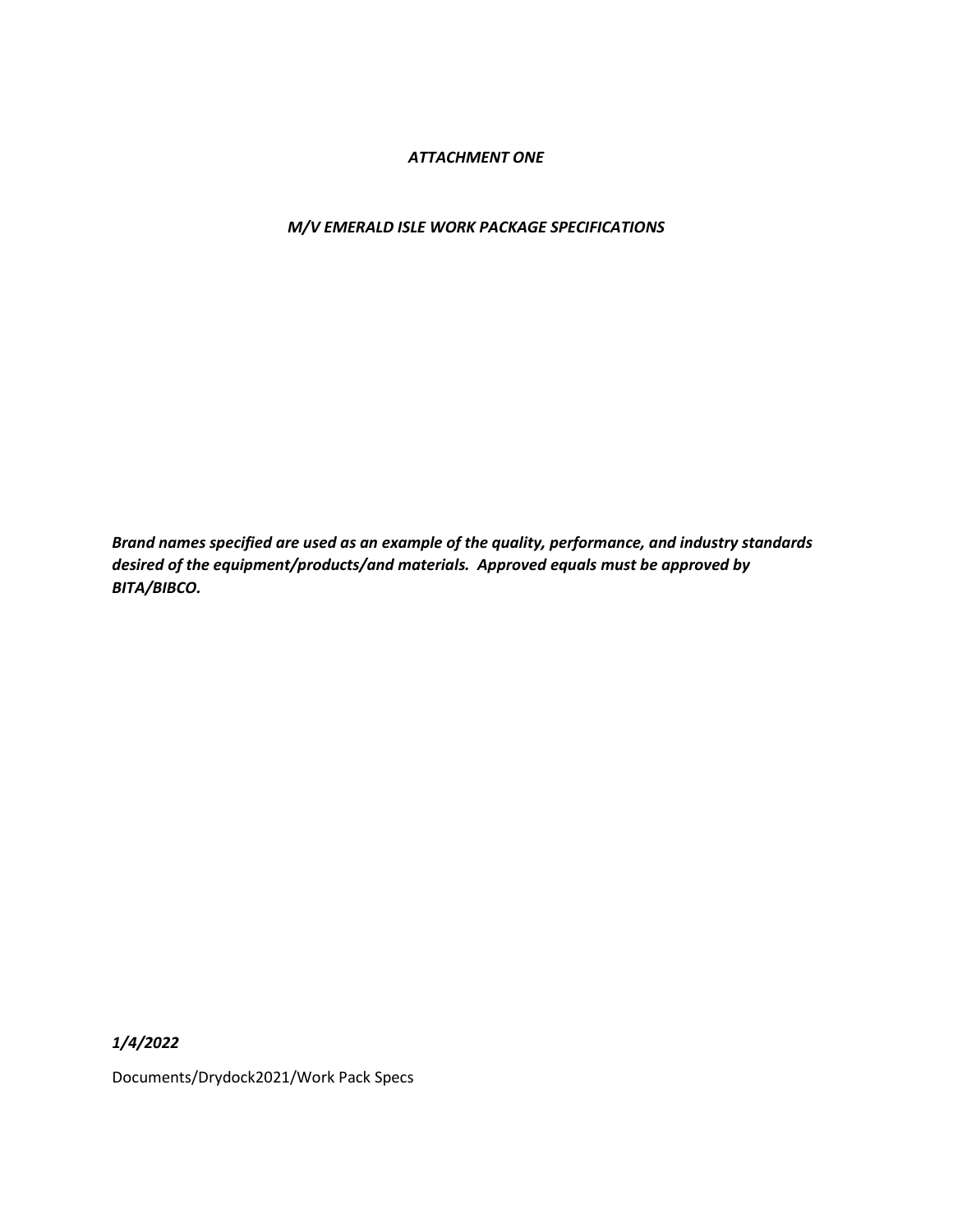### *ATTACHMENT ONE*

### *M/V EMERALD ISLE WORK PACKAGE SPECIFICATIONS*

*Brand names specified are used as an example of the quality, performance, and industry standards desired of the equipment/products/and materials. Approved equals must be approved by BITA/BIBCO.*

*1/4/2022*

Documents/Drydock2021/Work Pack Specs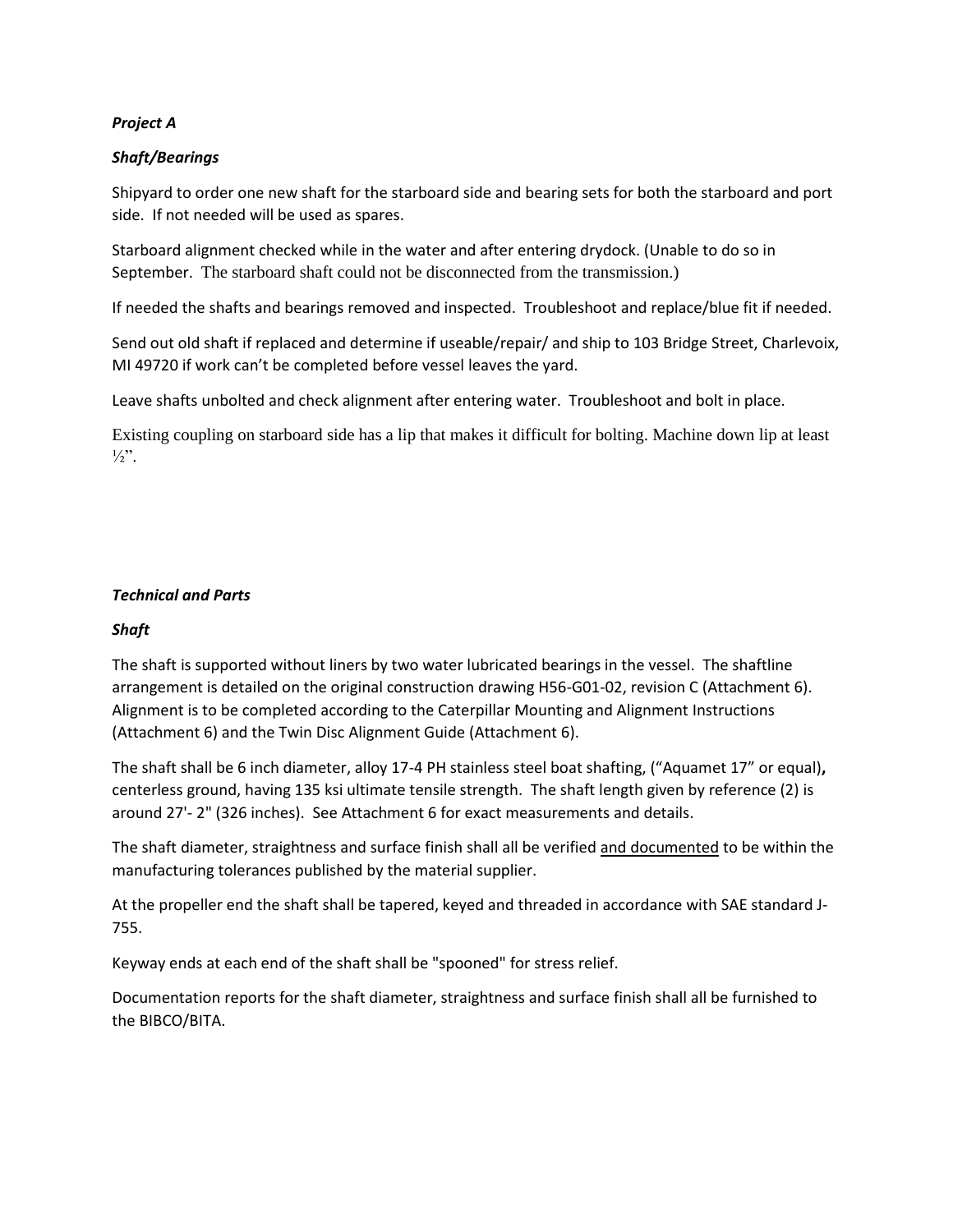## *Project A*

## *Shaft/Bearings*

Shipyard to order one new shaft for the starboard side and bearing sets for both the starboard and port side. If not needed will be used as spares.

Starboard alignment checked while in the water and after entering drydock. (Unable to do so in September. The starboard shaft could not be disconnected from the transmission.)

If needed the shafts and bearings removed and inspected. Troubleshoot and replace/blue fit if needed.

Send out old shaft if replaced and determine if useable/repair/ and ship to 103 Bridge Street, Charlevoix, MI 49720 if work can't be completed before vessel leaves the yard.

Leave shafts unbolted and check alignment after entering water. Troubleshoot and bolt in place.

Existing coupling on starboard side has a lip that makes it difficult for bolting. Machine down lip at least  $\frac{1}{2}$ ".

# *Technical and Parts*

## *Shaft*

The shaft is supported without liners by two water lubricated bearings in the vessel. The shaftline arrangement is detailed on the original construction drawing H56-G01-02, revision C (Attachment 6). Alignment is to be completed according to the Caterpillar Mounting and Alignment Instructions (Attachment 6) and the Twin Disc Alignment Guide (Attachment 6).

The shaft shall be 6 inch diameter, alloy 17-4 PH stainless steel boat shafting, ("Aquamet 17" or equal)**,** centerless ground, having 135 ksi ultimate tensile strength. The shaft length given by reference (2) is around 27'- 2" (326 inches). See Attachment 6 for exact measurements and details.

The shaft diameter, straightness and surface finish shall all be verified and documented to be within the manufacturing tolerances published by the material supplier.

At the propeller end the shaft shall be tapered, keyed and threaded in accordance with SAE standard J-755.

Keyway ends at each end of the shaft shall be "spooned" for stress relief.

Documentation reports for the shaft diameter, straightness and surface finish shall all be furnished to the BIBCO/BITA.